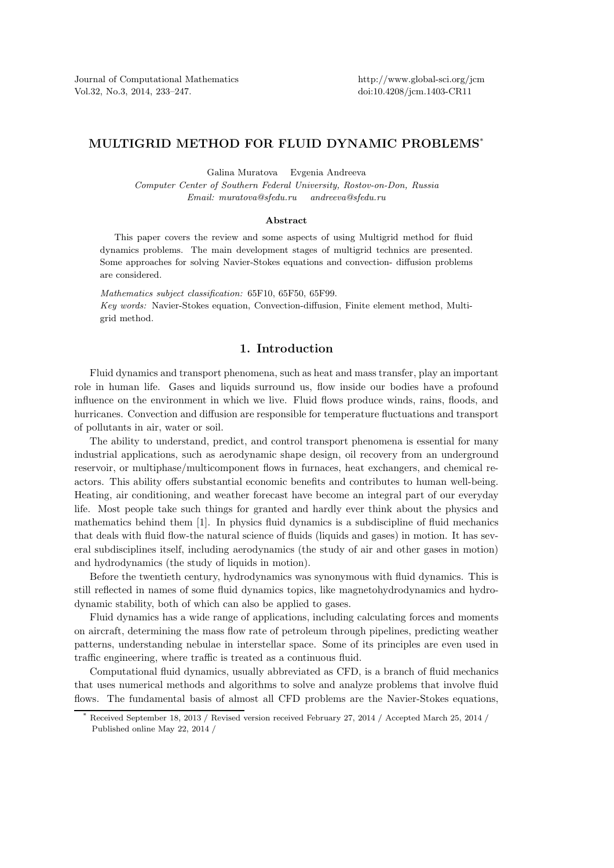Journal of Computational Mathematics Vol.32, No.3, 2014, 233–247.

## MULTIGRID METHOD FOR FLUID DYNAMIC PROBLEMS\*

Galina Muratova Evgenia Andreeva *Computer Center of Southern Federal University, Rostov-on-Don, Russia Email: muratova@sfedu.ru andreeva@sfedu.ru*

#### Abstract

This paper covers the review and some aspects of using Multigrid method for fluid dynamics problems. The main development stages of multigrid technics are presented. Some approaches for solving Navier-Stokes equations and convection- diffusion problems are considered.

*Mathematics subject classification:* 65F10, 65F50, 65F99. *Key words:* Navier-Stokes equation, Convection-diffusion, Finite element method, Multigrid method.

#### 1. Introduction

Fluid dynamics and transport phenomena, such as heat and mass transfer, play an important role in human life. Gases and liquids surround us, flow inside our bodies have a profound influence on the environment in which we live. Fluid flows produce winds, rains, floods, and hurricanes. Convection and diffusion are responsible for temperature fluctuations and transport of pollutants in air, water or soil.

The ability to understand, predict, and control transport phenomena is essential for many industrial applications, such as aerodynamic shape design, oil recovery from an underground reservoir, or multiphase/multicomponent flows in furnaces, heat exchangers, and chemical reactors. This ability offers substantial economic benefits and contributes to human well-being. Heating, air conditioning, and weather forecast have become an integral part of our everyday life. Most people take such things for granted and hardly ever think about the physics and mathematics behind them [1]. In physics fluid dynamics is a subdiscipline of fluid mechanics that deals with fluid flow-the natural science of fluids (liquids and gases) in motion. It has several subdisciplines itself, including aerodynamics (the study of air and other gases in motion) and hydrodynamics (the study of liquids in motion).

Before the twentieth century, hydrodynamics was synonymous with fluid dynamics. This is still reflected in names of some fluid dynamics topics, like magnetohydrodynamics and hydrodynamic stability, both of which can also be applied to gases.

Fluid dynamics has a wide range of applications, including calculating forces and moments on aircraft, determining the mass flow rate of petroleum through pipelines, predicting weather patterns, understanding nebulae in interstellar space. Some of its principles are even used in traffic engineering, where traffic is treated as a continuous fluid.

Computational fluid dynamics, usually abbreviated as CFD, is a branch of fluid mechanics that uses numerical methods and algorithms to solve and analyze problems that involve fluid flows. The fundamental basis of almost all CFD problems are the Navier-Stokes equations,

<sup>\*</sup> Received September 18, 2013 / Revised version received February 27, 2014 / Accepted March 25, 2014 / Published online May 22, 2014 /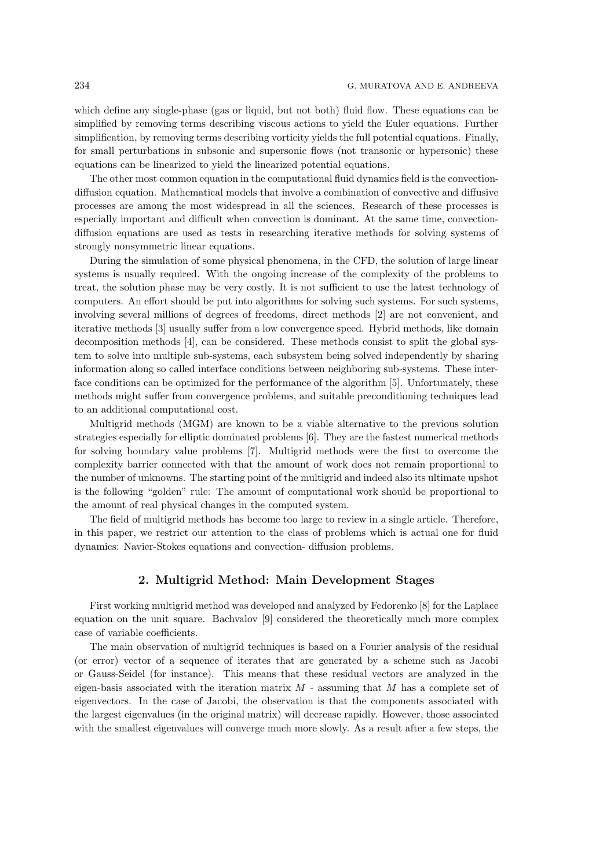which define any single-phase (gas or liquid, but not both) fluid flow. These equations can be simplified by removing terms describing viscous actions to yield the Euler equations. Further simplification, by removing terms describing vorticity yields the full potential equations. Finally, for small perturbations in subsonic and supersonic flows (not transonic or hypersonic) these equations can be linearized to yield the linearized potential equations.

The other most common equation in the computational fluid dynamics field is the convectiondiffusion equation. Mathematical models that involve a combination of convective and diffusive processes are among the most widespread in all the sciences. Research of these processes is especially important and difficult when convection is dominant. At the same time, convectiondiffusion equations are used as tests in researching iterative methods for solving systems of strongly nonsymmetric linear equations.

During the simulation of some physical phenomena, in the CFD, the solution of large linear systems is usually required. With the ongoing increase of the complexity of the problems to treat, the solution phase may be very costly. It is not sufficient to use the latest technology of computers. An effort should be put into algorithms for solving such systems. For such systems, involving several millions of degrees of freedoms, direct methods [2] are not convenient, and iterative methods [3] usually suffer from a low convergence speed. Hybrid methods, like domain decomposition methods [4], can be considered. These methods consist to split the global system to solve into multiple sub-systems, each subsystem being solved independently by sharing information along so called interface conditions between neighboring sub-systems. These interface conditions can be optimized for the performance of the algorithm [5]. Unfortunately, these methods might suffer from convergence problems, and suitable preconditioning techniques lead to an additional computational cost.

Multigrid methods (MGM) are known to be a viable alternative to the previous solution strategies especially for elliptic dominated problems [6]. They are the fastest numerical methods for solving boundary value problems [7]. Multigrid methods were the first to overcome the complexity barrier connected with that the amount of work does not remain proportional to the number of unknowns. The starting point of the multigrid and indeed also its ultimate upshot is the following "golden" rule: The amount of computational work should be proportional to the amount of real physical changes in the computed system.

The field of multigrid methods has become too large to review in a single article. Therefore, in this paper, we restrict our attention to the class of problems which is actual one for fluid dynamics: Navier-Stokes equations and convection- diffusion problems.

#### 2. Multigrid Method: Main Development Stages

First working multigrid method was developed and analyzed by Fedorenko [8] for the Laplace equation on the unit square. Bachvalov [9] considered the theoretically much more complex case of variable coefficients.

The main observation of multigrid techniques is based on a Fourier analysis of the residual (or error) vector of a sequence of iterates that are generated by a scheme such as Jacobi or Gauss-Seidel (for instance). This means that these residual vectors are analyzed in the eigen-basis associated with the iteration matrix  $M$  - assuming that  $M$  has a complete set of eigenvectors. In the case of Jacobi, the observation is that the components associated with the largest eigenvalues (in the original matrix) will decrease rapidly. However, those associated with the smallest eigenvalues will converge much more slowly. As a result after a few steps, the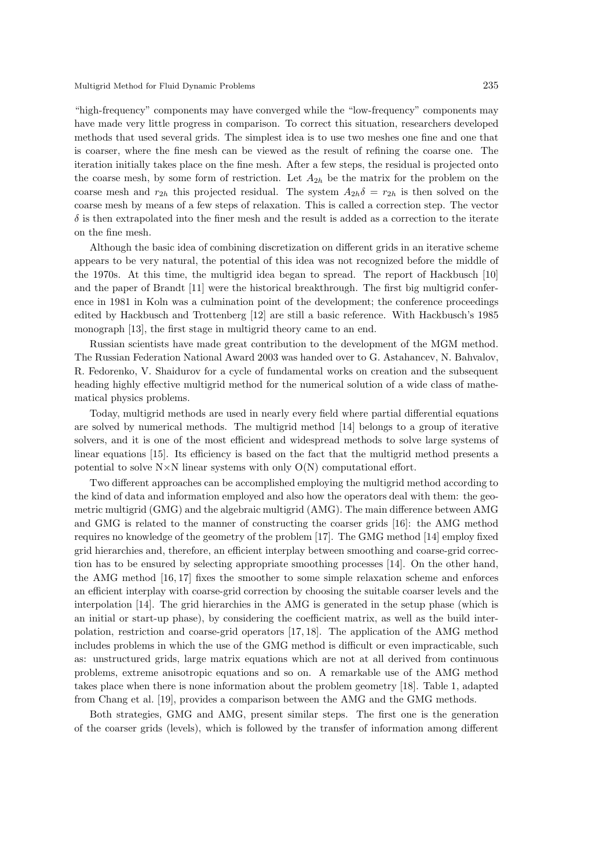"high-frequency" components may have converged while the "low-frequency" components may have made very little progress in comparison. To correct this situation, researchers developed methods that used several grids. The simplest idea is to use two meshes one fine and one that is coarser, where the fine mesh can be viewed as the result of refining the coarse one. The iteration initially takes place on the fine mesh. After a few steps, the residual is projected onto the coarse mesh, by some form of restriction. Let  $A_{2h}$  be the matrix for the problem on the coarse mesh and  $r_{2h}$  this projected residual. The system  $A_{2h}\delta = r_{2h}$  is then solved on the coarse mesh by means of a few steps of relaxation. This is called a correction step. The vector  $\delta$  is then extrapolated into the finer mesh and the result is added as a correction to the iterate on the fine mesh.

Although the basic idea of combining discretization on different grids in an iterative scheme appears to be very natural, the potential of this idea was not recognized before the middle of the 1970s. At this time, the multigrid idea began to spread. The report of Hackbusch [10] and the paper of Brandt [11] were the historical breakthrough. The first big multigrid conference in 1981 in Koln was a culmination point of the development; the conference proceedings edited by Hackbusch and Trottenberg [12] are still a basic reference. With Hackbusch's 1985 monograph [13], the first stage in multigrid theory came to an end.

Russian scientists have made great contribution to the development of the MGM method. The Russian Federation National Award 2003 was handed over to G. Astahancev, N. Bahvalov, R. Fedorenko, V. Shaidurov for a cycle of fundamental works on creation and the subsequent heading highly effective multigrid method for the numerical solution of a wide class of mathematical physics problems.

Today, multigrid methods are used in nearly every field where partial differential equations are solved by numerical methods. The multigrid method [14] belongs to a group of iterative solvers, and it is one of the most efficient and widespread methods to solve large systems of linear equations [15]. Its efficiency is based on the fact that the multigrid method presents a potential to solve  $N \times N$  linear systems with only  $O(N)$  computational effort.

Two different approaches can be accomplished employing the multigrid method according to the kind of data and information employed and also how the operators deal with them: the geometric multigrid (GMG) and the algebraic multigrid (AMG). The main difference between AMG and GMG is related to the manner of constructing the coarser grids [16]: the AMG method requires no knowledge of the geometry of the problem [17]. The GMG method [14] employ fixed grid hierarchies and, therefore, an efficient interplay between smoothing and coarse-grid correction has to be ensured by selecting appropriate smoothing processes [14]. On the other hand, the AMG method [16, 17] fixes the smoother to some simple relaxation scheme and enforces an efficient interplay with coarse-grid correction by choosing the suitable coarser levels and the interpolation [14]. The grid hierarchies in the AMG is generated in the setup phase (which is an initial or start-up phase), by considering the coefficient matrix, as well as the build interpolation, restriction and coarse-grid operators [17, 18]. The application of the AMG method includes problems in which the use of the GMG method is difficult or even impracticable, such as: unstructured grids, large matrix equations which are not at all derived from continuous problems, extreme anisotropic equations and so on. A remarkable use of the AMG method takes place when there is none information about the problem geometry [18]. Table 1, adapted from Chang et al. [19], provides a comparison between the AMG and the GMG methods.

Both strategies, GMG and AMG, present similar steps. The first one is the generation of the coarser grids (levels), which is followed by the transfer of information among different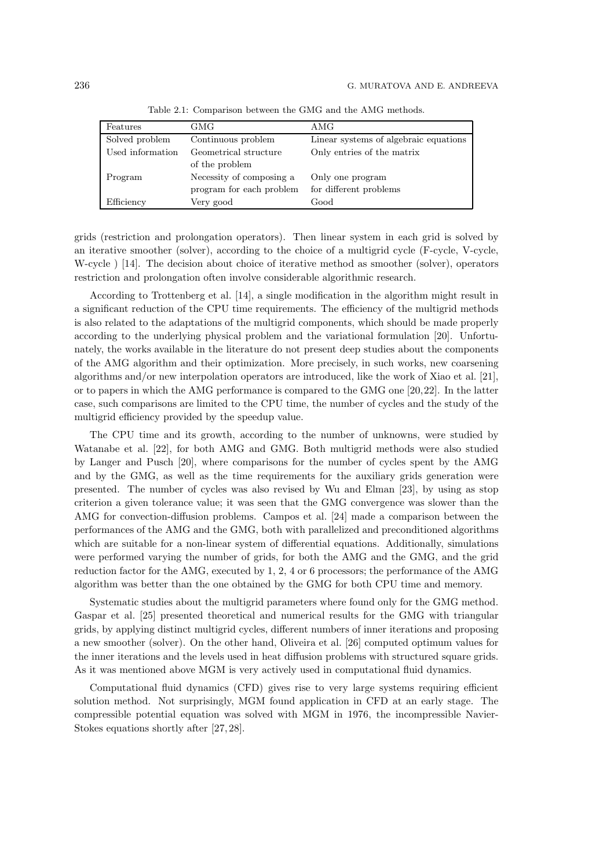| Features         | GMG                      | AMG                                   |  |
|------------------|--------------------------|---------------------------------------|--|
| Solved problem   | Continuous problem       | Linear systems of algebraic equations |  |
| Used information | Geometrical structure    | Only entries of the matrix            |  |
|                  | of the problem           |                                       |  |
| Program          | Necessity of composing a | Only one program                      |  |
|                  | program for each problem | for different problems                |  |
| Efficiency       | Very good                | Good                                  |  |

Table 2.1: Comparison between the GMG and the AMG methods.

grids (restriction and prolongation operators). Then linear system in each grid is solved by an iterative smoother (solver), according to the choice of a multigrid cycle (F-cycle, V-cycle, W-cycle ) [14]. The decision about choice of iterative method as smoother (solver), operators restriction and prolongation often involve considerable algorithmic research.

According to Trottenberg et al. [14], a single modification in the algorithm might result in a significant reduction of the CPU time requirements. The efficiency of the multigrid methods is also related to the adaptations of the multigrid components, which should be made properly according to the underlying physical problem and the variational formulation [20]. Unfortunately, the works available in the literature do not present deep studies about the components of the AMG algorithm and their optimization. More precisely, in such works, new coarsening algorithms and/or new interpolation operators are introduced, like the work of Xiao et al. [21], or to papers in which the AMG performance is compared to the GMG one [20,22]. In the latter case, such comparisons are limited to the CPU time, the number of cycles and the study of the multigrid efficiency provided by the speedup value.

The CPU time and its growth, according to the number of unknowns, were studied by Watanabe et al. [22], for both AMG and GMG. Both multigrid methods were also studied by Langer and Pusch [20], where comparisons for the number of cycles spent by the AMG and by the GMG, as well as the time requirements for the auxiliary grids generation were presented. The number of cycles was also revised by Wu and Elman [23], by using as stop criterion a given tolerance value; it was seen that the GMG convergence was slower than the AMG for convection-diffusion problems. Campos et al. [24] made a comparison between the performances of the AMG and the GMG, both with parallelized and preconditioned algorithms which are suitable for a non-linear system of differential equations. Additionally, simulations were performed varying the number of grids, for both the AMG and the GMG, and the grid reduction factor for the AMG, executed by 1, 2, 4 or 6 processors; the performance of the AMG algorithm was better than the one obtained by the GMG for both CPU time and memory.

Systematic studies about the multigrid parameters where found only for the GMG method. Gaspar et al. [25] presented theoretical and numerical results for the GMG with triangular grids, by applying distinct multigrid cycles, different numbers of inner iterations and proposing a new smoother (solver). On the other hand, Oliveira et al. [26] computed optimum values for the inner iterations and the levels used in heat diffusion problems with structured square grids. As it was mentioned above MGM is very actively used in computational fluid dynamics.

Computational fluid dynamics (CFD) gives rise to very large systems requiring efficient solution method. Not surprisingly, MGM found application in CFD at an early stage. The compressible potential equation was solved with MGM in 1976, the incompressible Navier-Stokes equations shortly after [27, 28].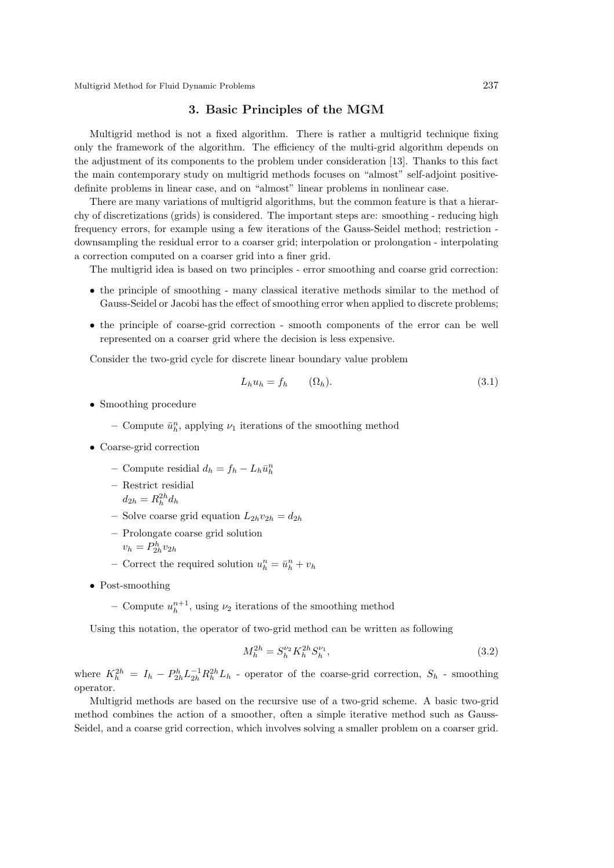## 3. Basic Principles of the MGM

Multigrid method is not a fixed algorithm. There is rather a multigrid technique fixing only the framework of the algorithm. The efficiency of the multi-grid algorithm depends on the adjustment of its components to the problem under consideration [13]. Thanks to this fact the main contemporary study on multigrid methods focuses on "almost" self-adjoint positivedefinite problems in linear case, and on "almost" linear problems in nonlinear case.

There are many variations of multigrid algorithms, but the common feature is that a hierarchy of discretizations (grids) is considered. The important steps are: smoothing - reducing high frequency errors, for example using a few iterations of the Gauss-Seidel method; restriction downsampling the residual error to a coarser grid; interpolation or prolongation - interpolating a correction computed on a coarser grid into a finer grid.

The multigrid idea is based on two principles - error smoothing and coarse grid correction:

- the principle of smoothing many classical iterative methods similar to the method of Gauss-Seidel or Jacobi has the effect of smoothing error when applied to discrete problems;
- the principle of coarse-grid correction smooth components of the error can be well represented on a coarser grid where the decision is less expensive.

Consider the two-grid cycle for discrete linear boundary value problem

$$
L_h u_h = f_h \qquad (\Omega_h). \tag{3.1}
$$

- Smoothing procedure
	- Compute  $\bar{u}_h^n$ , applying  $\nu_1$  iterations of the smoothing method
- Coarse-grid correction
	- Compute residial  $d_h = f_h L_h \bar{u}_h^n$
	- Restrict residial  $d_{2h} = R_h^{2h} d_h$
	- Solve coarse grid equation  $L_{2h}v_{2h} = d_{2h}$
	- Prolongate coarse grid solution
		- $v_h = P_{2h}^h v_{2h}$
	- Correct the required solution  $u_h^n = \bar{u}_h^n + v_h$
- Post-smoothing
	- Compute  $u_h^{n+1}$ , using  $\nu_2$  iterations of the smoothing method

Using this notation, the operator of two-grid method can be written as following

$$
M_h^{2h} = S_h^{\nu_2} K_h^{2h} S_h^{\nu_1},\tag{3.2}
$$

where  $K_h^{2h} = I_h - P_{2h}^h L_{2h}^{-1} R_h^{2h} L_h$  - operator of the coarse-grid correction,  $S_h$  - smoothing operator.

Multigrid methods are based on the recursive use of a two-grid scheme. A basic two-grid method combines the action of a smoother, often a simple iterative method such as Gauss-Seidel, and a coarse grid correction, which involves solving a smaller problem on a coarser grid.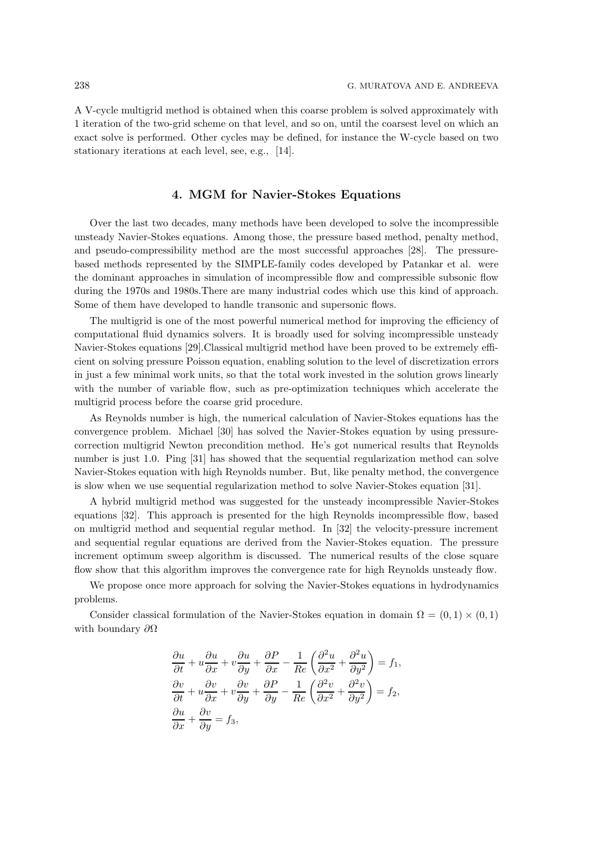A V-cycle multigrid method is obtained when this coarse problem is solved approximately with 1 iteration of the two-grid scheme on that level, and so on, until the coarsest level on which an exact solve is performed. Other cycles may be defined, for instance the W-cycle based on two stationary iterations at each level, see, e.g., [14].

#### 4. MGM for Navier-Stokes Equations

Over the last two decades, many methods have been developed to solve the incompressible unsteady Navier-Stokes equations. Among those, the pressure based method, penalty method, and pseudo-compressibility method are the most successful approaches [28]. The pressurebased methods represented by the SIMPLE-family codes developed by Patankar et al. were the dominant approaches in simulation of incompressible flow and compressible subsonic flow during the 1970s and 1980s.There are many industrial codes which use this kind of approach. Some of them have developed to handle transonic and supersonic flows.

The multigrid is one of the most powerful numerical method for improving the efficiency of computational fluid dynamics solvers. It is broadly used for solving incompressible unsteady Navier-Stokes equations [29].Classical multigrid method have been proved to be extremely efficient on solving pressure Poisson equation, enabling solution to the level of discretization errors in just a few minimal work units, so that the total work invested in the solution grows linearly with the number of variable flow, such as pre-optimization techniques which accelerate the multigrid process before the coarse grid procedure.

As Reynolds number is high, the numerical calculation of Navier-Stokes equations has the convergence problem. Michael [30] has solved the Navier-Stokes equation by using pressurecorrection multigrid Newton precondition method. He's got numerical results that Reynolds number is just 1.0. Ping [31] has showed that the sequential regularization method can solve Navier-Stokes equation with high Reynolds number. But, like penalty method, the convergence is slow when we use sequential regularization method to solve Navier-Stokes equation [31].

A hybrid multigrid method was suggested for the unsteady incompressible Navier-Stokes equations [32]. This approach is presented for the high Reynolds incompressible flow, based on multigrid method and sequential regular method. In [32] the velocity-pressure increment and sequential regular equations are derived from the Navier-Stokes equation. The pressure increment optimum sweep algorithm is discussed. The numerical results of the close square flow show that this algorithm improves the convergence rate for high Reynolds unsteady flow.

We propose once more approach for solving the Navier-Stokes equations in hydrodynamics problems.

Consider classical formulation of the Navier-Stokes equation in domain  $\Omega = (0,1) \times (0,1)$ with boundary  $\partial\Omega$ 

$$
\frac{\partial u}{\partial t} + u \frac{\partial u}{\partial x} + v \frac{\partial u}{\partial y} + \frac{\partial P}{\partial x} - \frac{1}{Re} \left( \frac{\partial^2 u}{\partial x^2} + \frac{\partial^2 u}{\partial y^2} \right) = f_1,
$$
  

$$
\frac{\partial v}{\partial t} + u \frac{\partial v}{\partial x} + v \frac{\partial v}{\partial y} + \frac{\partial P}{\partial y} - \frac{1}{Re} \left( \frac{\partial^2 v}{\partial x^2} + \frac{\partial^2 v}{\partial y^2} \right) = f_2,
$$
  

$$
\frac{\partial u}{\partial x} + \frac{\partial v}{\partial y} = f_3,
$$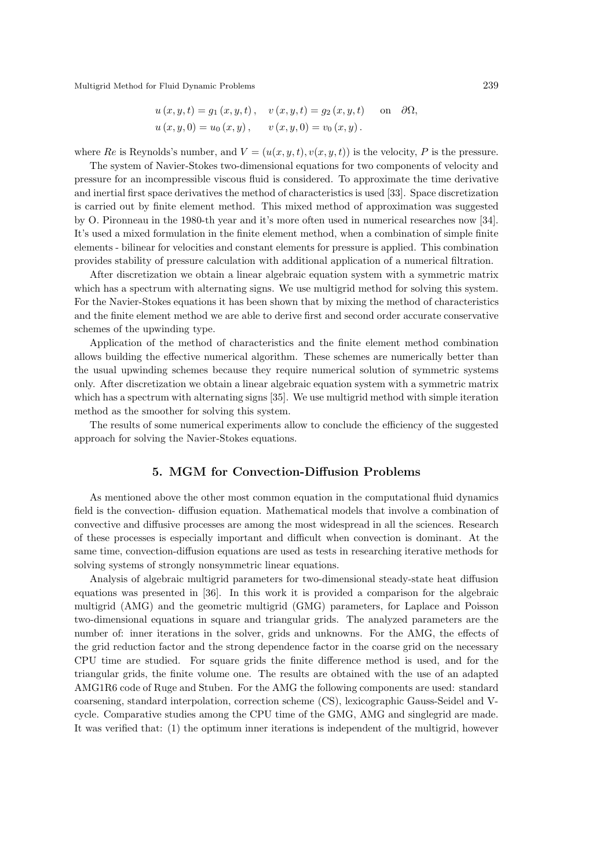$$
u(x, y, t) = g_1(x, y, t), v(x, y, t) = g_2(x, y, t)
$$
 on  $\partial\Omega$ ,  
\n $u(x, y, 0) = u_0(x, y), v(x, y, 0) = v_0(x, y).$ 

where Re is Reynolds's number, and  $V = (u(x, y, t), v(x, y, t))$  is the velocity, P is the pressure.

The system of Navier-Stokes two-dimensional equations for two components of velocity and pressure for an incompressible viscous fluid is considered. To approximate the time derivative and inertial first space derivatives the method of characteristics is used [33]. Space discretization is carried out by finite element method. This mixed method of approximation was suggested by O. Pironneau in the 1980-th year and it's more often used in numerical researches now [34]. It's used a mixed formulation in the finite element method, when a combination of simple finite elements - bilinear for velocities and constant elements for pressure is applied. This combination provides stability of pressure calculation with additional application of a numerical filtration.

After discretization we obtain a linear algebraic equation system with a symmetric matrix which has a spectrum with alternating signs. We use multigrid method for solving this system. For the Navier-Stokes equations it has been shown that by mixing the method of characteristics and the finite element method we are able to derive first and second order accurate conservative schemes of the upwinding type.

Application of the method of characteristics and the finite element method combination allows building the effective numerical algorithm. These schemes are numerically better than the usual upwinding schemes because they require numerical solution of symmetric systems only. After discretization we obtain a linear algebraic equation system with a symmetric matrix which has a spectrum with alternating signs [35]. We use multigrid method with simple iteration method as the smoother for solving this system.

The results of some numerical experiments allow to conclude the efficiency of the suggested approach for solving the Navier-Stokes equations.

## 5. MGM for Convection-Diffusion Problems

As mentioned above the other most common equation in the computational fluid dynamics field is the convection- diffusion equation. Mathematical models that involve a combination of convective and diffusive processes are among the most widespread in all the sciences. Research of these processes is especially important and difficult when convection is dominant. At the same time, convection-diffusion equations are used as tests in researching iterative methods for solving systems of strongly nonsymmetric linear equations.

Analysis of algebraic multigrid parameters for two-dimensional steady-state heat diffusion equations was presented in [36]. In this work it is provided a comparison for the algebraic multigrid (AMG) and the geometric multigrid (GMG) parameters, for Laplace and Poisson two-dimensional equations in square and triangular grids. The analyzed parameters are the number of: inner iterations in the solver, grids and unknowns. For the AMG, the effects of the grid reduction factor and the strong dependence factor in the coarse grid on the necessary CPU time are studied. For square grids the finite difference method is used, and for the triangular grids, the finite volume one. The results are obtained with the use of an adapted AMG1R6 code of Ruge and Stuben. For the AMG the following components are used: standard coarsening, standard interpolation, correction scheme (CS), lexicographic Gauss-Seidel and Vcycle. Comparative studies among the CPU time of the GMG, AMG and singlegrid are made. It was verified that: (1) the optimum inner iterations is independent of the multigrid, however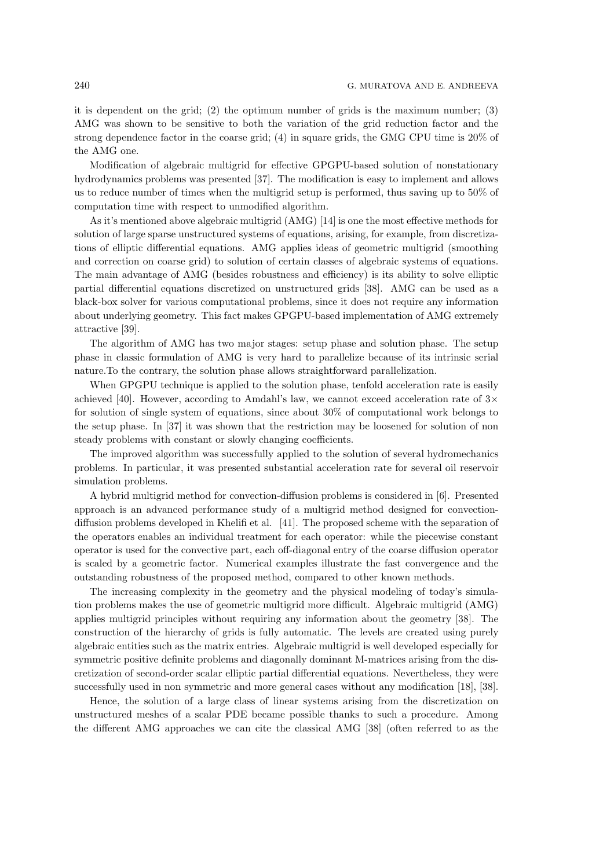it is dependent on the grid; (2) the optimum number of grids is the maximum number; (3) AMG was shown to be sensitive to both the variation of the grid reduction factor and the strong dependence factor in the coarse grid; (4) in square grids, the GMG CPU time is 20% of the AMG one.

Modification of algebraic multigrid for effective GPGPU-based solution of nonstationary hydrodynamics problems was presented [37]. The modification is easy to implement and allows us to reduce number of times when the multigrid setup is performed, thus saving up to 50% of computation time with respect to unmodified algorithm.

As it's mentioned above algebraic multigrid (AMG) [14] is one the most effective methods for solution of large sparse unstructured systems of equations, arising, for example, from discretizations of elliptic differential equations. AMG applies ideas of geometric multigrid (smoothing and correction on coarse grid) to solution of certain classes of algebraic systems of equations. The main advantage of AMG (besides robustness and efficiency) is its ability to solve elliptic partial differential equations discretized on unstructured grids [38]. AMG can be used as a black-box solver for various computational problems, since it does not require any information about underlying geometry. This fact makes GPGPU-based implementation of AMG extremely attractive [39].

The algorithm of AMG has two major stages: setup phase and solution phase. The setup phase in classic formulation of AMG is very hard to parallelize because of its intrinsic serial nature.To the contrary, the solution phase allows straightforward parallelization.

When GPGPU technique is applied to the solution phase, tenfold acceleration rate is easily achieved [40]. However, according to Amdahl's law, we cannot exceed acceleration rate of  $3\times$ for solution of single system of equations, since about 30% of computational work belongs to the setup phase. In [37] it was shown that the restriction may be loosened for solution of non steady problems with constant or slowly changing coefficients.

The improved algorithm was successfully applied to the solution of several hydromechanics problems. In particular, it was presented substantial acceleration rate for several oil reservoir simulation problems.

A hybrid multigrid method for convection-diffusion problems is considered in [6]. Presented approach is an advanced performance study of a multigrid method designed for convectiondiffusion problems developed in Khelifi et al. [41]. The proposed scheme with the separation of the operators enables an individual treatment for each operator: while the piecewise constant operator is used for the convective part, each off-diagonal entry of the coarse diffusion operator is scaled by a geometric factor. Numerical examples illustrate the fast convergence and the outstanding robustness of the proposed method, compared to other known methods.

The increasing complexity in the geometry and the physical modeling of today's simulation problems makes the use of geometric multigrid more difficult. Algebraic multigrid (AMG) applies multigrid principles without requiring any information about the geometry [38]. The construction of the hierarchy of grids is fully automatic. The levels are created using purely algebraic entities such as the matrix entries. Algebraic multigrid is well developed especially for symmetric positive definite problems and diagonally dominant M-matrices arising from the discretization of second-order scalar elliptic partial differential equations. Nevertheless, they were successfully used in non symmetric and more general cases without any modification [18], [38].

Hence, the solution of a large class of linear systems arising from the discretization on unstructured meshes of a scalar PDE became possible thanks to such a procedure. Among the different AMG approaches we can cite the classical AMG [38] (often referred to as the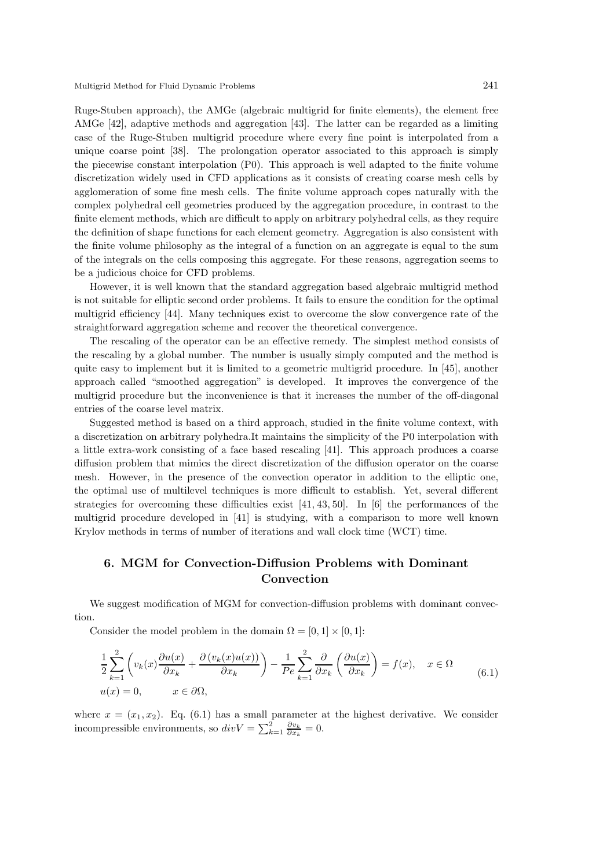Ruge-Stuben approach), the AMGe (algebraic multigrid for finite elements), the element free AMGe [42], adaptive methods and aggregation [43]. The latter can be regarded as a limiting case of the Ruge-Stuben multigrid procedure where every fine point is interpolated from a unique coarse point [38]. The prolongation operator associated to this approach is simply the piecewise constant interpolation (P0). This approach is well adapted to the finite volume discretization widely used in CFD applications as it consists of creating coarse mesh cells by agglomeration of some fine mesh cells. The finite volume approach copes naturally with the complex polyhedral cell geometries produced by the aggregation procedure, in contrast to the finite element methods, which are difficult to apply on arbitrary polyhedral cells, as they require the definition of shape functions for each element geometry. Aggregation is also consistent with the finite volume philosophy as the integral of a function on an aggregate is equal to the sum of the integrals on the cells composing this aggregate. For these reasons, aggregation seems to be a judicious choice for CFD problems.

However, it is well known that the standard aggregation based algebraic multigrid method is not suitable for elliptic second order problems. It fails to ensure the condition for the optimal multigrid efficiency [44]. Many techniques exist to overcome the slow convergence rate of the straightforward aggregation scheme and recover the theoretical convergence.

The rescaling of the operator can be an effective remedy. The simplest method consists of the rescaling by a global number. The number is usually simply computed and the method is quite easy to implement but it is limited to a geometric multigrid procedure. In [45], another approach called "smoothed aggregation" is developed. It improves the convergence of the multigrid procedure but the inconvenience is that it increases the number of the off-diagonal entries of the coarse level matrix.

Suggested method is based on a third approach, studied in the finite volume context, with a discretization on arbitrary polyhedra.It maintains the simplicity of the P0 interpolation with a little extra-work consisting of a face based rescaling [41]. This approach produces a coarse diffusion problem that mimics the direct discretization of the diffusion operator on the coarse mesh. However, in the presence of the convection operator in addition to the elliptic one, the optimal use of multilevel techniques is more difficult to establish. Yet, several different strategies for overcoming these difficulties exist [41, 43, 50]. In [6] the performances of the multigrid procedure developed in [41] is studying, with a comparison to more well known Krylov methods in terms of number of iterations and wall clock time (WCT) time.

# 6. MGM for Convection-Diffusion Problems with Dominant Convection

We suggest modification of MGM for convection-diffusion problems with dominant convection.

Consider the model problem in the domain  $\Omega = [0, 1] \times [0, 1]$ :

$$
\frac{1}{2} \sum_{k=1}^{2} \left( v_k(x) \frac{\partial u(x)}{\partial x_k} + \frac{\partial (v_k(x)u(x))}{\partial x_k} \right) - \frac{1}{Pe} \sum_{k=1}^{2} \frac{\partial}{\partial x_k} \left( \frac{\partial u(x)}{\partial x_k} \right) = f(x), \quad x \in \Omega
$$
\n
$$
u(x) = 0, \qquad x \in \partial\Omega,
$$
\n(6.1)

where  $x = (x_1, x_2)$ . Eq. (6.1) has a small parameter at the highest derivative. We consider incompressible environments, so  $div V = \sum_{k=1}^{2} \frac{\partial v_k}{\partial x_k} = 0.$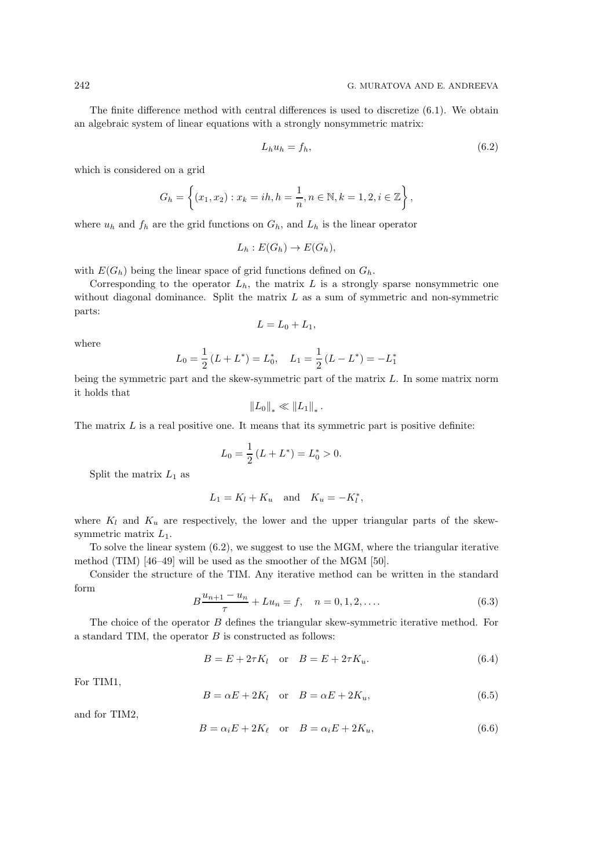The finite difference method with central differences is used to discretize (6.1). We obtain an algebraic system of linear equations with a strongly nonsymmetric matrix:

$$
L_h u_h = f_h,\tag{6.2}
$$

which is considered on a grid

$$
G_h = \left\{ (x_1, x_2) : x_k = ih, h = \frac{1}{n}, n \in \mathbb{N}, k = 1, 2, i \in \mathbb{Z} \right\},\
$$

where  $u_h$  and  $f_h$  are the grid functions on  $G_h$ , and  $L_h$  is the linear operator

$$
L_h: E(G_h) \to E(G_h),
$$

with  $E(G_h)$  being the linear space of grid functions defined on  $G_h$ .

Corresponding to the operator  $L<sub>h</sub>$ , the matrix L is a strongly sparse nonsymmetric one without diagonal dominance. Split the matrix  $L$  as a sum of symmetric and non-symmetric parts:

$$
L = L_0 + L_1,
$$

where

$$
L_0 = \frac{1}{2} (L + L^*) = L_0^*, \quad L_1 = \frac{1}{2} (L - L^*) = -L_1^*
$$

being the symmetric part and the skew-symmetric part of the matrix L. In some matrix norm it holds that

$$
||L_0||_* \ll ||L_1||_*.
$$

The matrix  $L$  is a real positive one. It means that its symmetric part is positive definite:

$$
L_0 = \frac{1}{2} \left( L + L^* \right) = L_0^* > 0.
$$

Split the matrix  $L_1$  as

$$
L_1 = K_l + K_u \quad \text{and} \quad K_u = -K_l^*,
$$

where  $K_l$  and  $K_u$  are respectively, the lower and the upper triangular parts of the skewsymmetric matrix  $L_1$ .

To solve the linear system (6.2), we suggest to use the MGM, where the triangular iterative method (TIM) [46–49] will be used as the smoother of the MGM [50].

Consider the structure of the TIM. Any iterative method can be written in the standard form

$$
B\frac{u_{n+1} - u_n}{\tau} + Lu_n = f, \quad n = 0, 1, 2, .... \tag{6.3}
$$

The choice of the operator B defines the triangular skew-symmetric iterative method. For a standard TIM, the operator  $B$  is constructed as follows:

$$
B = E + 2\tau K_l \quad \text{or} \quad B = E + 2\tau K_u. \tag{6.4}
$$

For TIM1,

$$
B = \alpha E + 2K_l \quad \text{or} \quad B = \alpha E + 2K_u,\tag{6.5}
$$

and for TIM2,

$$
B = \alpha_i E + 2K_{\ell} \quad \text{or} \quad B = \alpha_i E + 2K_u,\tag{6.6}
$$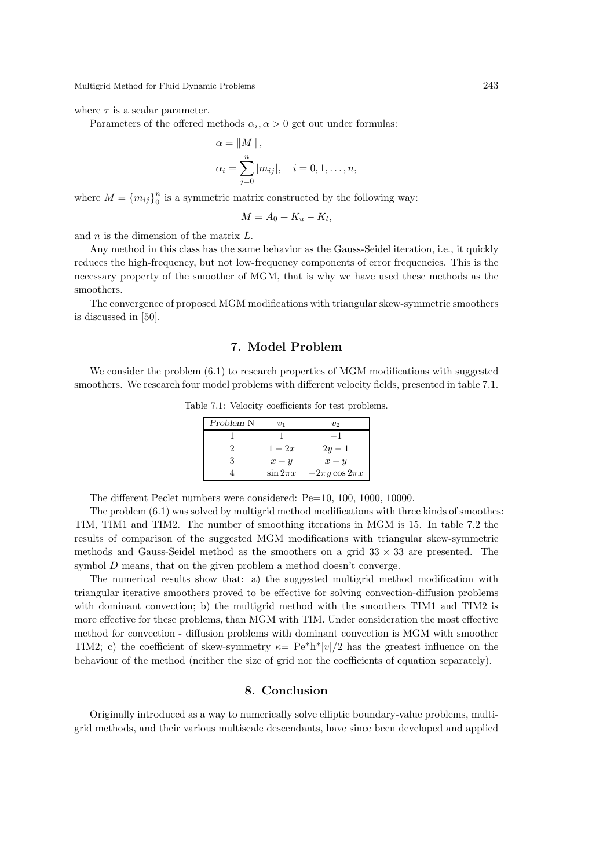where  $\tau$  is a scalar parameter.

Parameters of the offered methods  $\alpha_i, \alpha > 0$  get out under formulas:

$$
\alpha = ||M||
$$
,  
\n $\alpha_i = \sum_{j=0}^{n} |m_{ij}|$ ,  $i = 0, 1, ..., n$ ,

where  $M = \{m_{ij}\}_0^n$  is a symmetric matrix constructed by the following way:

$$
M = A_0 + K_u - K_l,
$$

and  $n$  is the dimension of the matrix  $L$ .

Any method in this class has the same behavior as the Gauss-Seidel iteration, i.e., it quickly reduces the high-frequency, but not low-frequency components of error frequencies. This is the necessary property of the smoother of MGM, that is why we have used these methods as the smoothers.

The convergence of proposed MGM modifications with triangular skew-symmetric smoothers is discussed in [50].

## 7. Model Problem

We consider the problem  $(6.1)$  to research properties of MGM modifications with suggested smoothers. We research four model problems with different velocity fields, presented in table 7.1.

Table 7.1: Velocity coefficients for test problems.

| Problem N | $v_1$         | $v_2$                 |  |
|-----------|---------------|-----------------------|--|
|           |               | $-1$                  |  |
|           | $1-2x$        | $2y-1$                |  |
|           | $x + y$       | $x - y$               |  |
|           | $\sin 2\pi x$ | $-2\pi y \cos 2\pi x$ |  |

The different Peclet numbers were considered: Pe=10, 100, 1000, 10000.

The problem (6.1) was solved by multigrid method modifications with three kinds of smoothes: TIM, TIM1 and TIM2. The number of smoothing iterations in MGM is 15. In table 7.2 the results of comparison of the suggested MGM modifications with triangular skew-symmetric methods and Gauss-Seidel method as the smoothers on a grid  $33 \times 33$  are presented. The symbol D means, that on the given problem a method doesn't converge.

The numerical results show that: a) the suggested multigrid method modification with triangular iterative smoothers proved to be effective for solving convection-diffusion problems with dominant convection; b) the multigrid method with the smoothers TIM1 and TIM2 is more effective for these problems, than MGM with TIM. Under consideration the most effective method for convection - diffusion problems with dominant convection is MGM with smoother TIM2; c) the coefficient of skew-symmetry  $\kappa = \frac{\text{Pe}^* \hbar^* |v|}{2}$  has the greatest influence on the behaviour of the method (neither the size of grid nor the coefficients of equation separately).

#### 8. Conclusion

Originally introduced as a way to numerically solve elliptic boundary-value problems, multigrid methods, and their various multiscale descendants, have since been developed and applied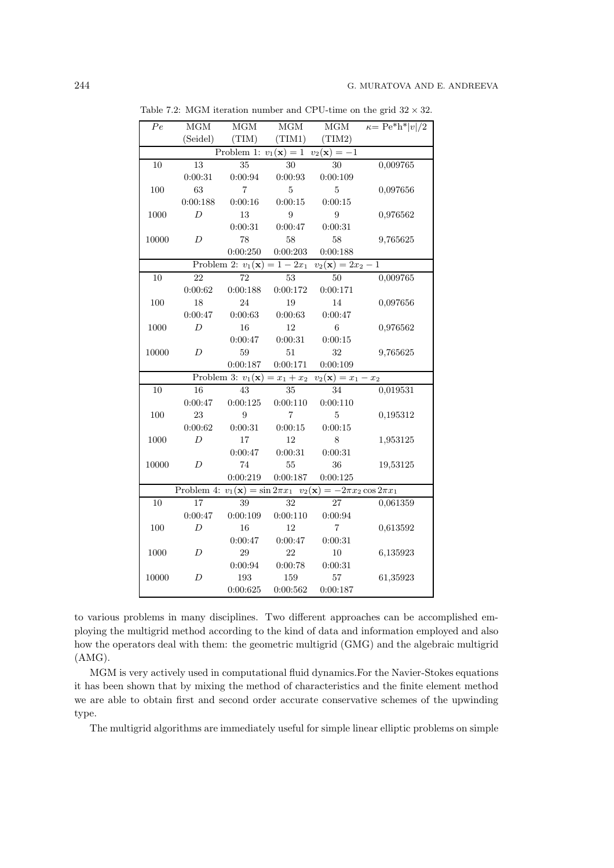| Pe                                                                                          | MGM              | $_{\rm{MGM}}$  | $_{\rm{MGM}}$   | MGM                     | $\kappa = Pe^*h^* v /2$ |  |  |
|---------------------------------------------------------------------------------------------|------------------|----------------|-----------------|-------------------------|-------------------------|--|--|
|                                                                                             | (Seidel)         | (TIM)          | (TIM1)          | (TIM2)                  |                         |  |  |
| Problem 1: $v_1(\mathbf{x}) = 1$<br>$\overline{v_2(\mathbf{x})} = -1$                       |                  |                |                 |                         |                         |  |  |
| 10                                                                                          | 13               | 35             | 30              | 30                      | 0,009765                |  |  |
|                                                                                             | 0:00:31          | 0:00:94        | 0:00:93         | 0:00:109                |                         |  |  |
| 100                                                                                         | 63               | $\overline{7}$ | 5               | $\bf 5$                 | 0,097656                |  |  |
|                                                                                             | 0:00:188         | 0:00:16        | 0:00:15         | 0:00:15                 |                         |  |  |
| 1000                                                                                        | $\boldsymbol{D}$ | 13             | 9               | 9                       | 0,976562                |  |  |
|                                                                                             |                  | 0:00:31        | 0:00:47         | 0:00:31                 |                         |  |  |
| 10000                                                                                       | $\overline{D}$   | 78             | 58              | 58                      | 9,765625                |  |  |
|                                                                                             |                  | 0:00:250       | 0:00:203        | 0:00:188                |                         |  |  |
| Problem 2: $v_1(\mathbf{x}) = 1 - 2x_1$<br>$v_2(\mathbf{x}) = 2x_2 - 1$                     |                  |                |                 |                         |                         |  |  |
| 10                                                                                          | 22               | 72             | 53              | 50                      | 0,009765                |  |  |
|                                                                                             | 0:00:62          | 0:00:188       | 0:00:172        | 0:00:171                |                         |  |  |
| 100                                                                                         | 18               | 24             | 19              | 14                      | 0,097656                |  |  |
|                                                                                             | 0:00:47          | 0:00:63        | 0:00:63         | 0:00:47                 |                         |  |  |
| 1000                                                                                        | $\overline{D}$   | 16             | 12              | $\boldsymbol{6}$        | 0,976562                |  |  |
|                                                                                             |                  | 0:00:47        | 0:00:31         | 0:00:15                 |                         |  |  |
| 10000                                                                                       | $\overline{D}$   | 59             | 51              | 32                      | 9,765625                |  |  |
|                                                                                             |                  | 0:00:187       | 0:00:171        | 0:00:109                |                         |  |  |
| Problem 3: $v_1(\mathbf{x}) = x_1 + x_2$<br>$v_2(\mathbf{x}) = x_1 - x_2$                   |                  |                |                 |                         |                         |  |  |
| 10                                                                                          | 16               | 43             | 35              | 34                      | 0,019531                |  |  |
|                                                                                             | 0:00:47          | 0:00:125       | 0:00:110        | 0:00:110                |                         |  |  |
| 100                                                                                         | 23               | 9              | $\overline{7}$  | $\overline{5}$          | 0,195312                |  |  |
|                                                                                             | 0:00:62          | 0:00:31        | 0:00:15         | 0:00:15                 |                         |  |  |
| 1000                                                                                        | $\overline{D}$   | 17             | 12              | $8\,$                   | 1,953125                |  |  |
|                                                                                             |                  | 0:00:47        | 0:00:31         | 0:00:31                 |                         |  |  |
| 10000                                                                                       | D                | 74             | 55              | 36                      | 19,53125                |  |  |
|                                                                                             |                  | 0:00:219       | 0:00:187        | 0:00:125                |                         |  |  |
| Problem 4: $v_1(\mathbf{x}) = \sin 2\pi x_1$<br>$v_2(\mathbf{x}) = -2\pi x_2 \cos 2\pi x_1$ |                  |                |                 |                         |                         |  |  |
| 10                                                                                          | 17               | 39             | $\overline{32}$ | $\overline{27}$         | 0,061359                |  |  |
|                                                                                             | 0:00:47          | 0:00:109       | 0:00:110        | 0:00:94                 |                         |  |  |
| 100                                                                                         | D                | 16             | 12              | $\overline{\mathbf{7}}$ | 0,613592                |  |  |
|                                                                                             |                  | 0:00:47        | 0:00:47         | 0:00:31                 |                         |  |  |
| 1000                                                                                        | D                | 29             | 22              | 10                      | 6,135923                |  |  |
|                                                                                             |                  | 0:00:94        | 0:00:78         | 0:00:31                 |                         |  |  |
| 10000                                                                                       | D                | 193            | 159             | 57                      | 61,35923                |  |  |
|                                                                                             |                  | 0:00:625       | 0:00:562        | 0:00:187                |                         |  |  |

Table 7.2: MGM iteration number and CPU-time on the grid  $32 \times 32$ .

to various problems in many disciplines. Two different approaches can be accomplished employing the multigrid method according to the kind of data and information employed and also how the operators deal with them: the geometric multigrid (GMG) and the algebraic multigrid (AMG).

MGM is very actively used in computational fluid dynamics.For the Navier-Stokes equations it has been shown that by mixing the method of characteristics and the finite element method we are able to obtain first and second order accurate conservative schemes of the upwinding type.

The multigrid algorithms are immediately useful for simple linear elliptic problems on simple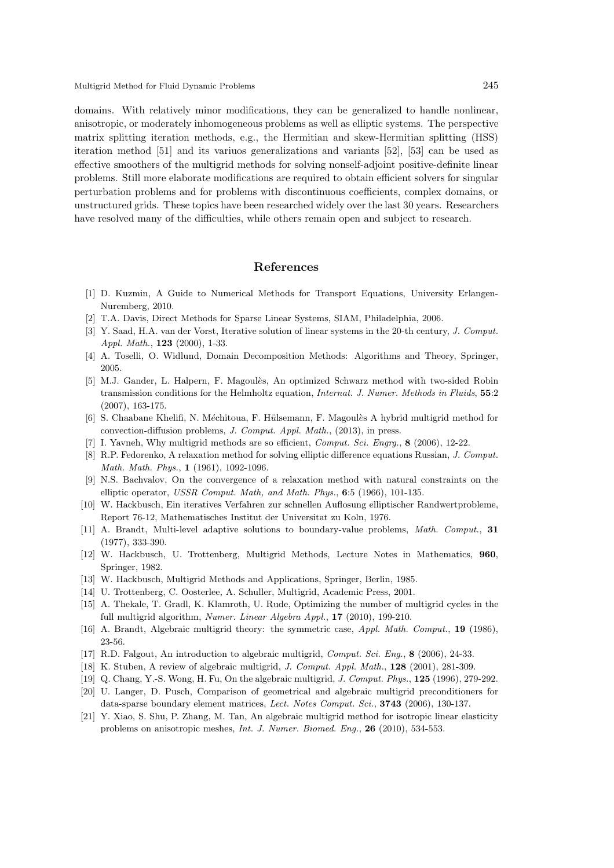domains. With relatively minor modifications, they can be generalized to handle nonlinear, anisotropic, or moderately inhomogeneous problems as well as elliptic systems. The perspective matrix splitting iteration methods, e.g., the Hermitian and skew-Hermitian splitting (HSS) iteration method [51] and its variuos generalizations and variants [52], [53] can be used as effective smoothers of the multigrid methods for solving nonself-adjoint positive-definite linear problems. Still more elaborate modifications are required to obtain efficient solvers for singular perturbation problems and for problems with discontinuous coefficients, complex domains, or unstructured grids. These topics have been researched widely over the last 30 years. Researchers have resolved many of the difficulties, while others remain open and subject to research.

## References

- [1] D. Kuzmin, A Guide to Numerical Methods for Transport Equations, University Erlangen-Nuremberg, 2010.
- [2] T.A. Davis, Direct Methods for Sparse Linear Systems, SIAM, Philadelphia, 2006.
- [3] Y. Saad, H.A. van der Vorst, Iterative solution of linear systems in the 20-th century, *J. Comput. Appl. Math.*, 123 (2000), 1-33.
- [4] A. Toselli, O. Widlund, Domain Decomposition Methods: Algorithms and Theory, Springer, 2005.
- [5] M.J. Gander, L. Halpern, F. Magoulès, An optimized Schwarz method with two-sided Robin transmission conditions for the Helmholtz equation, *Internat. J. Numer. Methods in Fluids*, 55:2 (2007), 163-175.
- [6] S. Chaabane Khelifi, N. Méchitoua, F. Hülsemann, F. Magoulès A hybrid multigrid method for convection-diffusion problems, *J. Comput. Appl. Math.*, (2013), in press.
- [7] I. Yavneh, Why multigrid methods are so efficient, *Comput. Sci. Engrg.*, 8 (2006), 12-22.
- [8] R.P. Fedorenko, A relaxation method for solving elliptic difference equations Russian, *J. Comput. Math. Math. Phys.*, 1 (1961), 1092-1096.
- [9] N.S. Bachvalov, On the convergence of a relaxation method with natural constraints on the elliptic operator, *USSR Comput. Math, and Math. Phys.*, 6:5 (1966), 101-135.
- [10] W. Hackbusch, Ein iteratives Verfahren zur schnellen Auflosung elliptischer Randwertprobleme, Report 76-12, Mathematisches Institut der Universitat zu Koln, 1976.
- [11] A. Brandt, Multi-level adaptive solutions to boundary-value problems, *Math. Comput.*, 31 (1977), 333-390.
- [12] W. Hackbusch, U. Trottenberg, Multigrid Methods, Lecture Notes in Mathematics, 960, Springer, 1982.
- [13] W. Hackbusch, Multigrid Methods and Applications, Springer, Berlin, 1985.
- [14] U. Trottenberg, C. Oosterlee, A. Schuller, Multigrid, Academic Press, 2001.
- [15] A. Thekale, T. Gradl, K. Klamroth, U. Rude, Optimizing the number of multigrid cycles in the full multigrid algorithm, *Numer. Linear Algebra Appl.*, 17 (2010), 199-210.
- [16] A. Brandt, Algebraic multigrid theory: the symmetric case, *Appl. Math. Comput.*, 19 (1986), 23-56.
- [17] R.D. Falgout, An introduction to algebraic multigrid, *Comput. Sci. Eng.*, 8 (2006), 24-33.
- [18] K. Stuben, A review of algebraic multigrid, *J. Comput. Appl. Math.*, 128 (2001), 281-309.
- [19] Q. Chang, Y.-S. Wong, H. Fu, On the algebraic multigrid, *J. Comput. Phys.*, 125 (1996), 279-292.
- [20] U. Langer, D. Pusch, Comparison of geometrical and algebraic multigrid preconditioners for data-sparse boundary element matrices, *Lect. Notes Comput. Sci.*, 3743 (2006), 130-137.
- [21] Y. Xiao, S. Shu, P. Zhang, M. Tan, An algebraic multigrid method for isotropic linear elasticity problems on anisotropic meshes, *Int. J. Numer. Biomed. Eng.*, 26 (2010), 534-553.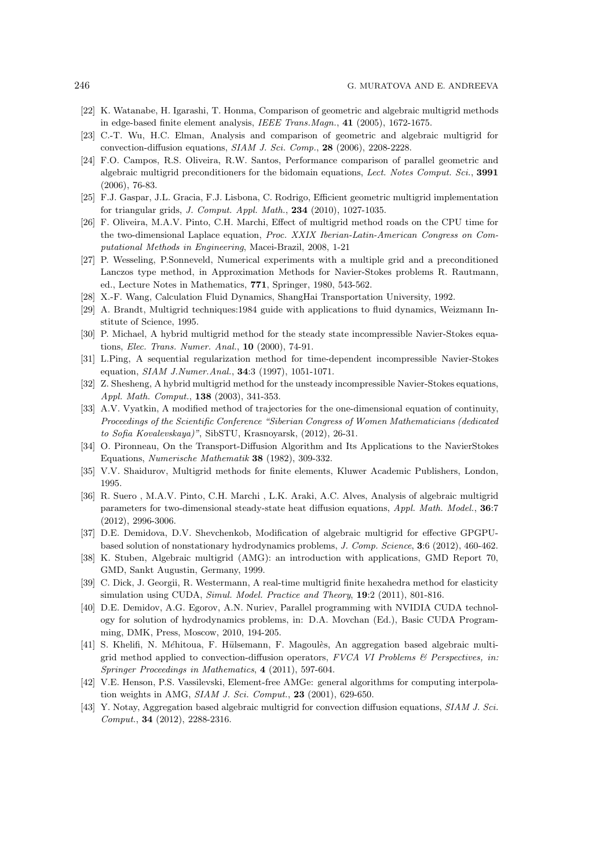- [22] K. Watanabe, H. Igarashi, T. Honma, Comparison of geometric and algebraic multigrid methods in edge-based finite element analysis, *IEEE Trans.Magn.*, 41 (2005), 1672-1675.
- [23] C.-T. Wu, H.C. Elman, Analysis and comparison of geometric and algebraic multigrid for convection-diffusion equations, *SIAM J. Sci. Comp.*, 28 (2006), 2208-2228.
- [24] F.O. Campos, R.S. Oliveira, R.W. Santos, Performance comparison of parallel geometric and algebraic multigrid preconditioners for the bidomain equations, *Lect. Notes Comput. Sci.*, 3991 (2006), 76-83.
- [25] F.J. Gaspar, J.L. Gracia, F.J. Lisbona, C. Rodrigo, Efficient geometric multigrid implementation for triangular grids, *J. Comput. Appl. Math.*, 234 (2010), 1027-1035.
- [26] F. Oliveira, M.A.V. Pinto, C.H. Marchi, Effect of multigrid method roads on the CPU time for the two-dimensional Laplace equation, *Proc. XXIX Iberian-Latin-American Congress on Computational Methods in Engineering*, Macei-Brazil, 2008, 1-21
- [27] P. Wesseling, P.Sonneveld, Numerical experiments with a multiple grid and a preconditioned Lanczos type method, in Approximation Methods for Navier-Stokes problems R. Rautmann, ed., Lecture Notes in Mathematics, 771, Springer, 1980, 543-562.
- [28] X.-F. Wang, Calculation Fluid Dynamics, ShangHai Transportation University, 1992.
- [29] A. Brandt, Multigrid techniques:1984 guide with applications to fluid dynamics, Weizmann Institute of Science, 1995.
- [30] P. Michael, A hybrid multigrid method for the steady state incompressible Navier-Stokes equations, *Elec. Trans. Numer. Anal.*, 10 (2000), 74-91.
- [31] L.Ping, A sequential regularization method for time-dependent incompressible Navier-Stokes equation, *SIAM J.Numer.Anal.*, 34:3 (1997), 1051-1071.
- [32] Z. Shesheng, A hybrid multigrid method for the unsteady incompressible Navier-Stokes equations, *Appl. Math. Comput.*, 138 (2003), 341-353.
- [33] A.V. Vyatkin, A modified method of trajectories for the one-dimensional equation of continuity, *Proceedings of the Scientific Conference "Siberian Congress of Women Mathematicians (dedicated to Sofia Kovalevskaya)"*, SibSTU, Krasnoyarsk, (2012), 26-31.
- [34] O. Pironneau, On the Transport-Diffusion Algorithm and Its Applications to the NavierStokes Equations, *Numerische Mathematik* 38 (1982), 309-332.
- [35] V.V. Shaidurov, Multigrid methods for finite elements, Kluwer Academic Publishers, London, 1995.
- [36] R. Suero , M.A.V. Pinto, C.H. Marchi , L.K. Araki, A.C. Alves, Analysis of algebraic multigrid parameters for two-dimensional steady-state heat diffusion equations, *Appl. Math. Model.*, 36:7 (2012), 2996-3006.
- [37] D.E. Demidova, D.V. Shevchenkob, Modification of algebraic multigrid for effective GPGPUbased solution of nonstationary hydrodynamics problems, *J. Comp. Science*, 3:6 (2012), 460-462.
- [38] K. Stuben, Algebraic multigrid (AMG): an introduction with applications, GMD Report 70, GMD, Sankt Augustin, Germany, 1999.
- [39] C. Dick, J. Georgii, R. Westermann, A real-time multigrid finite hexahedra method for elasticity simulation using CUDA, *Simul. Model. Practice and Theory*, 19:2 (2011), 801-816.
- [40] D.E. Demidov, A.G. Egorov, A.N. Nuriev, Parallel programming with NVIDIA CUDA technology for solution of hydrodynamics problems, in: D.A. Movchan (Ed.), Basic CUDA Programming, DMK, Press, Moscow, 2010, 194-205.
- [41] S. Khelifi, N. Méhitoua, F. Hülsemann, F. Magoulès, An aggregation based algebraic multigrid method applied to convection-diffusion operators, *FVCA VI Problems & Perspectives, in: Springer Proceedings in Mathematics*, 4 (2011), 597-604.
- [42] V.E. Henson, P.S. Vassilevski, Element-free AMGe: general algorithms for computing interpolation weights in AMG, *SIAM J. Sci. Comput.*, 23 (2001), 629-650.
- [43] Y. Notay, Aggregation based algebraic multigrid for convection diffusion equations, *SIAM J. Sci. Comput.*, 34 (2012), 2288-2316.